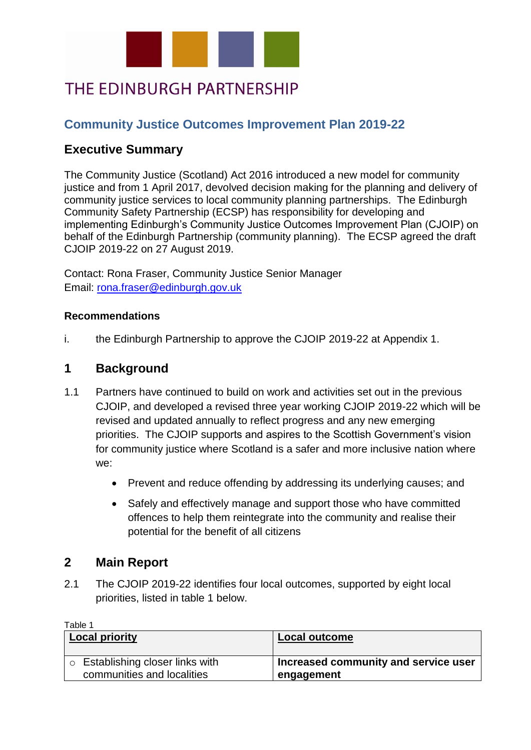

# THE EDINBURGH PARTNERSHIP

## **Community Justice Outcomes Improvement Plan 2019-22**

## **Executive Summary**

The Community Justice (Scotland) Act 2016 introduced a new model for community justice and from 1 April 2017, devolved decision making for the planning and delivery of community justice services to local community planning partnerships. The Edinburgh Community Safety Partnership (ECSP) has responsibility for developing and implementing Edinburgh's Community Justice Outcomes Improvement Plan (CJOIP) on behalf of the Edinburgh Partnership (community planning). The ECSP agreed the draft CJOIP 2019-22 on 27 August 2019.

Contact: Rona Fraser, Community Justice Senior Manager Email: [rona.fraser@edinburgh.gov.uk](mailto:rona.fraser@edinburgh.gov.uk) 

#### **Recommendations**

i. the Edinburgh Partnership to approve the CJOIP 2019-22 at Appendix 1.

## **1 Background**

- 1.1 Partners have continued to build on work and activities set out in the previous CJOIP, and developed a revised three year working CJOIP 2019-22 which will be revised and updated annually to reflect progress and any new emerging priorities. The CJOIP supports and aspires to the Scottish Government's vision for community justice where Scotland is a safer and more inclusive nation where we:
	- Prevent and reduce offending by addressing its underlying causes; and
	- Safely and effectively manage and support those who have committed offences to help them reintegrate into the community and realise their potential for the benefit of all citizens

## **2 Main Report**

2.1 The CJOIP 2019-22 identifies four local outcomes, supported by eight local priorities, listed in table 1 below.

| Table 1                                                          |                                                    |
|------------------------------------------------------------------|----------------------------------------------------|
| <b>Local priority</b>                                            | <b>Local outcome</b>                               |
| ' o Establishing closer links with<br>communities and localities | Increased community and service user<br>engagement |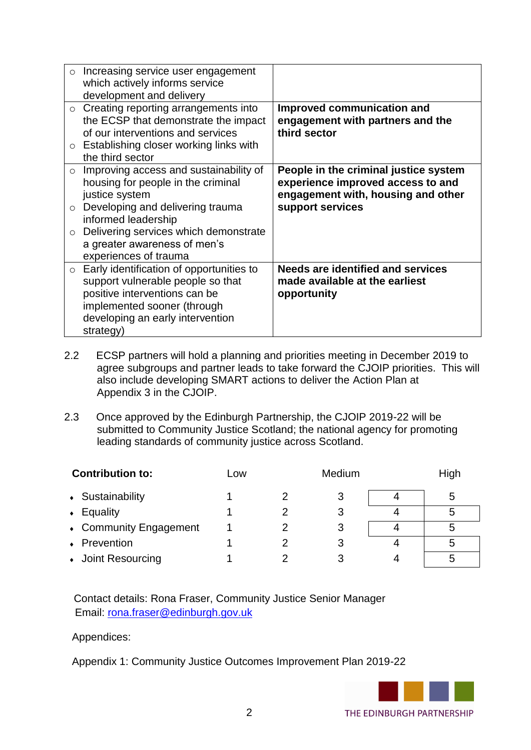| $\circ$                       | Increasing service user engagement<br>which actively informs service<br>development and delivery                                                                                                                                                            |                                                                                                                                      |
|-------------------------------|-------------------------------------------------------------------------------------------------------------------------------------------------------------------------------------------------------------------------------------------------------------|--------------------------------------------------------------------------------------------------------------------------------------|
|                               | $\circ$ Creating reporting arrangements into<br>the ECSP that demonstrate the impact<br>of our interventions and services<br>$\circ$ Establishing closer working links with<br>the third sector                                                             | Improved communication and<br>engagement with partners and the<br>third sector                                                       |
| $\circ$<br>$\circ$<br>$\circ$ | Improving access and sustainability of<br>housing for people in the criminal<br>justice system<br>Developing and delivering trauma<br>informed leadership<br>Delivering services which demonstrate<br>a greater awareness of men's<br>experiences of trauma | People in the criminal justice system<br>experience improved access to and<br>engagement with, housing and other<br>support services |
| $\circ$                       | Early identification of opportunities to<br>support vulnerable people so that<br>positive interventions can be<br>implemented sooner (through<br>developing an early intervention<br>strategy)                                                              | <b>Needs are identified and services</b><br>made available at the earliest<br>opportunity                                            |

- 2.2 ECSP partners will hold a planning and priorities meeting in December 2019 to agree subgroups and partner leads to take forward the CJOIP priorities. This will also include developing SMART actions to deliver the Action Plan at Appendix 3 in the CJOIP.
- 2.3 Once approved by the Edinburgh Partnership, the CJOIP 2019-22 will be submitted to Community Justice Scotland; the national agency for promoting leading standards of community justice across Scotland.

| <b>Contribution to:</b> | Low | Medium | High |
|-------------------------|-----|--------|------|
| • Sustainability        |     |        | ხ    |
| Equality<br>$\bullet$   |     |        |      |
| • Community Engagement  |     | 3      |      |
| • Prevention            |     |        | 5    |
| • Joint Resourcing      |     |        |      |

Contact details: Rona Fraser, Community Justice Senior Manager Email: [rona.fraser@edinburgh.gov.uk](mailto:rona.fraser@edinburgh.gov.uk)

#### Appendices:

Appendix 1: Community Justice Outcomes Improvement Plan 2019-22

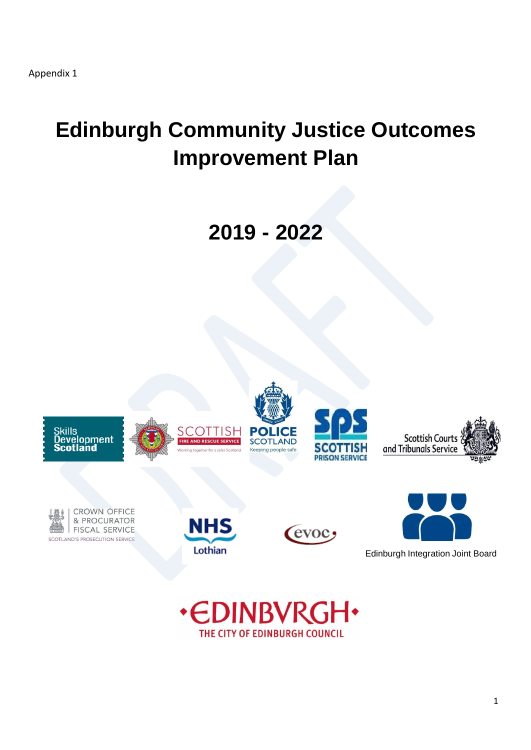# **Edinburgh Community Justice Outcomes Improvement Plan**

**2019 - 2022**



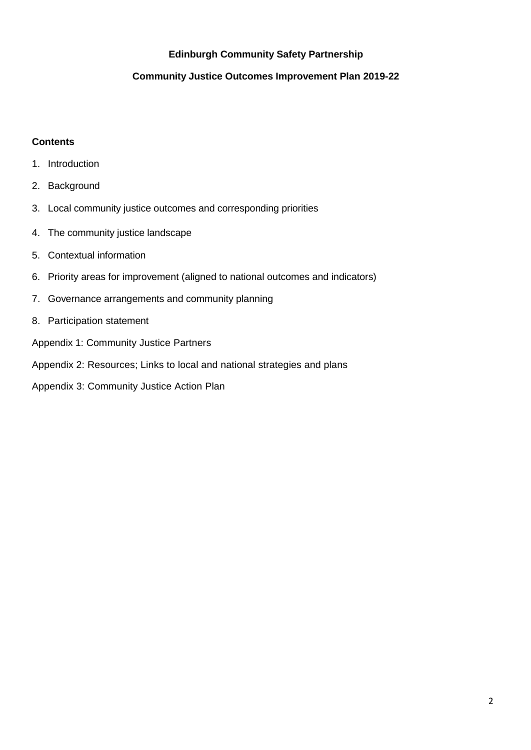#### **Edinburgh Community Safety Partnership**

#### **Community Justice Outcomes Improvement Plan 2019-22**

#### **Contents**

- 1. Introduction
- 2. Background
- 3. Local community justice outcomes and corresponding priorities
- 4. The community justice landscape
- 5. Contextual information
- 6. Priority areas for improvement (aligned to national outcomes and indicators)
- 7. Governance arrangements and community planning
- 8. Participation statement
- Appendix 1: Community Justice Partners
- Appendix 2: Resources; Links to local and national strategies and plans
- Appendix 3: Community Justice Action Plan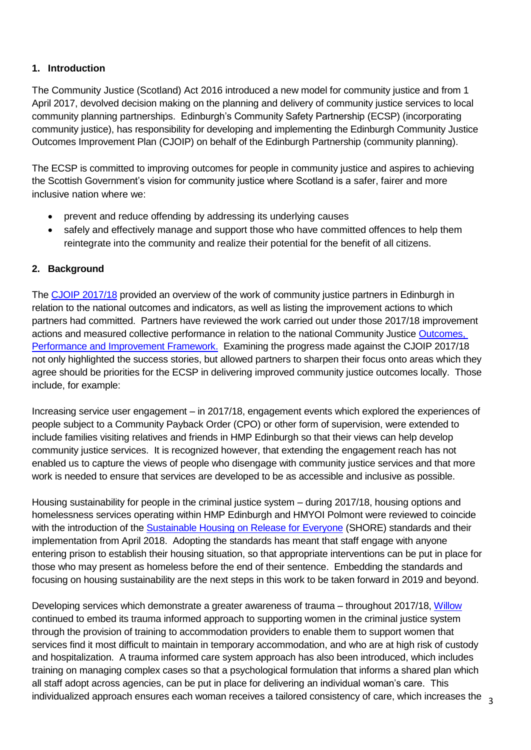#### **1. Introduction**

The Community Justice (Scotland) Act 2016 introduced a new model for community justice and from 1 April 2017, devolved decision making on the planning and delivery of community justice services to local community planning partnerships. Edinburgh's Community Safety Partnership (ECSP) (incorporating community justice), has responsibility for developing and implementing the Edinburgh Community Justice Outcomes Improvement Plan (CJOIP) on behalf of the Edinburgh Partnership (community planning).

The ECSP is committed to improving outcomes for people in community justice and aspires to achieving the Scottish Government's vision for community justice where Scotland is a safer, fairer and more inclusive nation where we:

- prevent and reduce offending by addressing its underlying causes
- safely and effectively manage and support those who have committed offences to help them reintegrate into the community and realize their potential for the benefit of all citizens.

#### **2. Background**

The [CJOIP 2017/18](http://www.edinburgh.gov.uk/download/downloads/id/9174/edinburgh_community_justice_outcomes_improvement_plan_201718.pdf) provided an overview of the work of community justice partners in Edinburgh in relation to the national outcomes and indicators, as well as listing the improvement actions to which partners had committed. Partners have reviewed the work carried out under those 2017/18 improvement actions and measured collective performance in relation to the national Community Justice [Outcomes,](https://www.gov.scot/binaries/content/documents/govscot/publications/publication/2016/11/community-justice-outcomes-performance-improvement-framework/documents/00510517-pdf/00510517-pdf/govscot%3Adocument?forceDownload=true)  [Performance and Improvement Framework.](https://www.gov.scot/binaries/content/documents/govscot/publications/publication/2016/11/community-justice-outcomes-performance-improvement-framework/documents/00510517-pdf/00510517-pdf/govscot%3Adocument?forceDownload=true) Examining the progress made against the CJOIP 2017/18 not only highlighted the success stories, but allowed partners to sharpen their focus onto areas which they agree should be priorities for the ECSP in delivering improved community justice outcomes locally. Those include, for example:

Increasing service user engagement – in 2017/18, engagement events which explored the experiences of people subject to a Community Payback Order (CPO) or other form of supervision, were extended to include families visiting relatives and friends in HMP Edinburgh so that their views can help develop community justice services. It is recognized however, that extending the engagement reach has not enabled us to capture the views of people who disengage with community justice services and that more work is needed to ensure that services are developed to be as accessible and inclusive as possible.

Housing sustainability for people in the criminal justice system – during 2017/18, housing options and homelessness services operating within HMP Edinburgh and HMYOI Polmont were reviewed to coincide with the introduction of the [Sustainable Housing on Release for Everyone](http://www.sps.gov.uk/Corporate/Publications/Publication-5363.aspx) (SHORE) standards and their implementation from April 2018. Adopting the standards has meant that staff engage with anyone entering prison to establish their housing situation, so that appropriate interventions can be put in place for those who may present as homeless before the end of their sentence. Embedding the standards and focusing on housing sustainability are the next steps in this work to be taken forward in 2019 and beyond.

individualized approach ensures each woman receives a tailored consistency of care, which increases the  $\;\frac{}{}\;_{3}$ Developing services which demonstrate a greater awareness of trauma – throughout 2017/18, [Willow](http://www.edinburgh.gov.uk/info/20048/crime/589/willow) continued to embed its trauma informed approach to supporting women in the criminal justice system through the provision of training to accommodation providers to enable them to support women that services find it most difficult to maintain in temporary accommodation, and who are at high risk of custody and hospitalization. A trauma informed care system approach has also been introduced, which includes training on managing complex cases so that a psychological formulation that informs a shared plan which all staff adopt across agencies, can be put in place for delivering an individual woman's care. This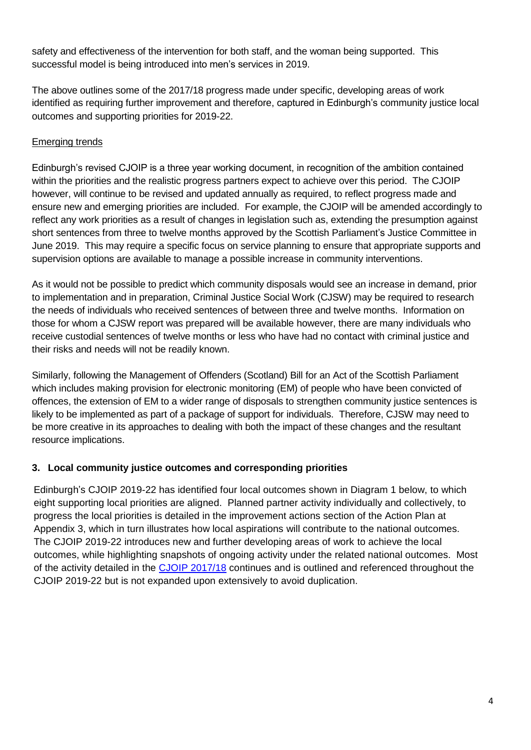safety and effectiveness of the intervention for both staff, and the woman being supported. This successful model is being introduced into men's services in 2019.

The above outlines some of the 2017/18 progress made under specific, developing areas of work identified as requiring further improvement and therefore, captured in Edinburgh's community justice local outcomes and supporting priorities for 2019-22.

#### Emerging trends

Edinburgh's revised CJOIP is a three year working document, in recognition of the ambition contained within the priorities and the realistic progress partners expect to achieve over this period. The CJOIP however, will continue to be revised and updated annually as required, to reflect progress made and ensure new and emerging priorities are included. For example, the CJOIP will be amended accordingly to reflect any work priorities as a result of changes in legislation such as, extending the presumption against short sentences from three to twelve months approved by the Scottish Parliament's Justice Committee in June 2019. This may require a specific focus on service planning to ensure that appropriate supports and supervision options are available to manage a possible increase in community interventions.

As it would not be possible to predict which community disposals would see an increase in demand, prior to implementation and in preparation, Criminal Justice Social Work (CJSW) may be required to research the needs of individuals who received sentences of between three and twelve months. Information on those for whom a CJSW report was prepared will be available however, there are many individuals who receive custodial sentences of twelve months or less who have had no contact with criminal justice and their risks and needs will not be readily known.

Similarly, following the Management of Offenders (Scotland) Bill for an Act of the Scottish Parliament which includes making provision for electronic monitoring (EM) of people who have been convicted of offences, the extension of EM to a wider range of disposals to strengthen community justice sentences is likely to be implemented as part of a package of support for individuals. Therefore, CJSW may need to be more creative in its approaches to dealing with both the impact of these changes and the resultant resource implications.

#### **3. Local community justice outcomes and corresponding priorities**

Edinburgh's CJOIP 2019-22 has identified four local outcomes shown in Diagram 1 below, to which eight supporting local priorities are aligned. Planned partner activity individually and collectively, to progress the local priorities is detailed in the improvement actions section of the Action Plan at Appendix 3, which in turn illustrates how local aspirations will contribute to the national outcomes. The CJOIP 2019-22 introduces new and further developing areas of work to achieve the local outcomes, while highlighting snapshots of ongoing activity under the related national outcomes. Most of the activity detailed in the [CJOIP 2017/18](http://www.edinburgh.gov.uk/download/downloads/id/9174/edinburgh_community_justice_outcomes_improvement_plan_201718.pdf) continues and is outlined and referenced throughout the CJOIP 2019-22 but is not expanded upon extensively to avoid duplication.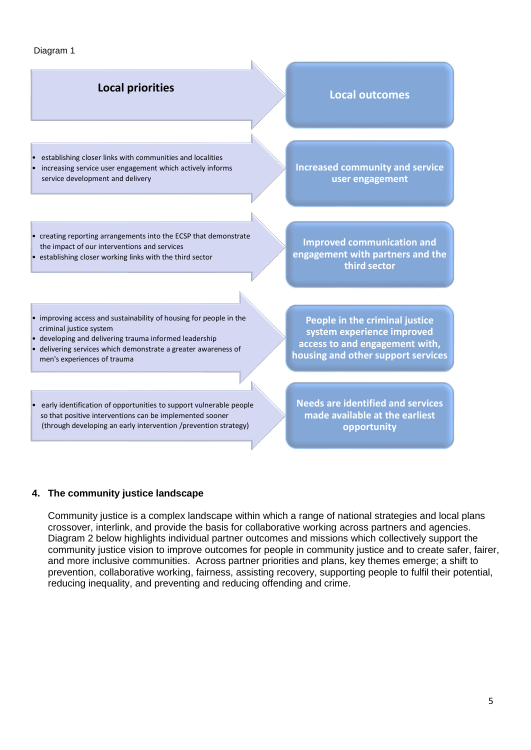#### Diagram 1

## • **Local priorities Local outcomes**

• establishing closer links with communities and localities increasing service user engagement which actively informs service development and delivery

**Increased community and service user engagement**

- creating reporting arrangements into the ECSP that demonstrate the impact of our interventions and services
- establishing closer working links with the third sector

**engagement with partners and the third sector**

**Improved communication and** 

- improving access and sustainability of housing for people in the • criminal justice system
- developing and delivering trauma informed leadership
- delivering services which demonstrate a greater awareness of men's experiences of trauma
- early identification of opportunities to support vulnerable people so that positive interventions can be implemented sooner • (through developing an early intervention /prevention strategy)

**People in the criminal justice system experience improved access to and engagement with, housing and other support services**

**Needs are identified and services made available at the earliest opportunity**

#### **4. The community justice landscape**

Community justice is a complex landscape within which a range of national strategies and local plans crossover, interlink, and provide the basis for collaborative working across partners and agencies. Diagram 2 below highlights individual partner outcomes and missions which collectively support the community justice vision to improve outcomes for people in community justice and to create safer, fairer, and more inclusive communities. Across partner priorities and plans, key themes emerge; a shift to prevention, collaborative working, fairness, assisting recovery, supporting people to fulfil their potential, reducing inequality, and preventing and reducing offending and crime.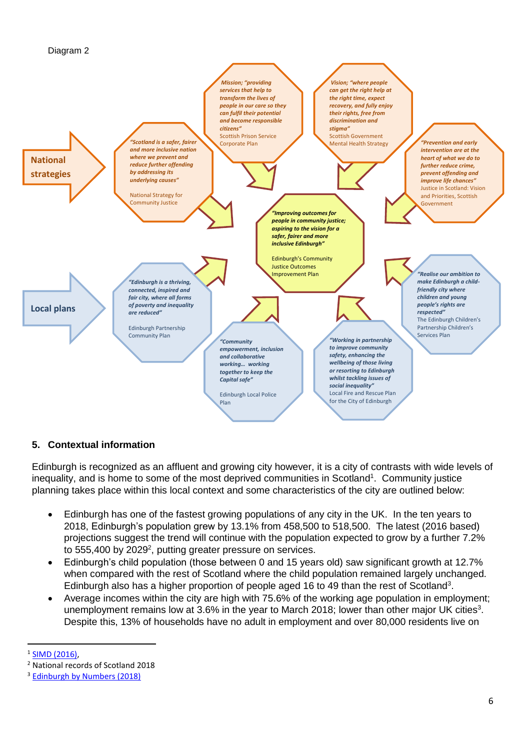



#### **5. Contextual information**

Edinburgh is recognized as an affluent and growing city however, it is a city of contrasts with wide levels of inequality, and is home to some of the most deprived communities in Scotland<sup>1</sup>. Community justice planning takes place within this local context and some characteristics of the city are outlined below:

- Edinburgh has one of the fastest growing populations of any city in the UK. In the ten years to 2018, Edinburgh's population grew by 13.1% from 458,500 to 518,500. The latest (2016 based) projections suggest the trend will continue with the population expected to grow by a further 7.2% to 555,400 by 2029<sup>2</sup>, putting greater pressure on services.
- Edinburgh's child population (those between 0 and 15 years old) saw significant growth at 12.7% when compared with the rest of Scotland where the child population remained largely unchanged. Edinburgh also has a higher proportion of people aged 16 to 49 than the rest of Scotland<sup>3</sup>.
- Average incomes within the city are high with 75.6% of the working age population in employment; unemployment remains low at 3.6% in the year to March 2018; lower than other major UK cities<sup>3</sup>. Despite this, 13% of households have no adult in employment and over 80,000 residents live on

 $\overline{\phantom{a}}$ <sup>1</sup> [SIMD \(2016\),](https://www.gov.scot/Resource/0051/00510713.pdf)

<sup>2</sup> National records of Scotland 2018

<sup>&</sup>lt;sup>3</sup> [Edinburgh by Numbers \(2018\)](http://www.edinburgh.gov.uk/downloads/file/9904/edinburgh_by_numbers_2018)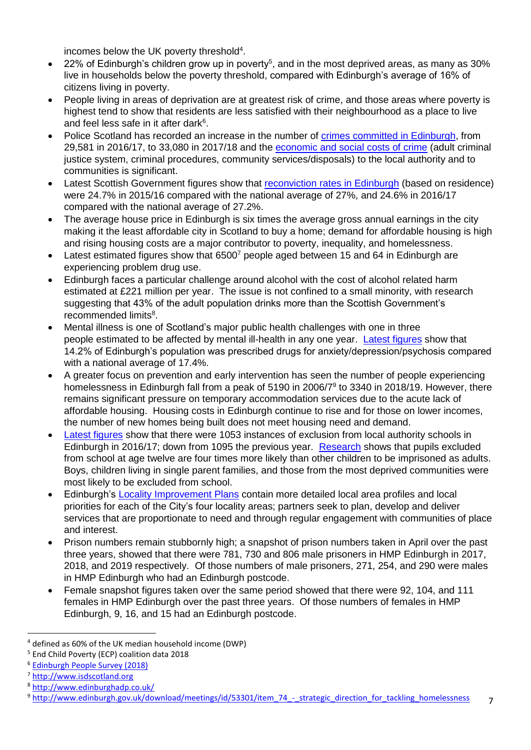incomes below the UK poverty threshold $4$ .

- 22% of Edinburgh's children grow up in poverty<sup>5</sup>, and in the most deprived areas, as many as 30% live in households below the poverty threshold, compared with Edinburgh's average of 16% of citizens living in poverty.
- People living in areas of deprivation are at greatest risk of crime, and those areas where poverty is highest tend to show that residents are less satisfied with their neighbourhood as a place to live and feel less safe in it after dark $6$ .
- Police Scotland has recorded an increase in the number of [crimes committed in Edinburgh,](https://www.gov.scot/publications/recorded-crime-scotland-2017-18/pages/12/) from 29,581 in 2016/17, to 33,080 in 2017/18 and the [economic and social costs of crime](https://www.gov.scot/Topics/Statistics/Browse/Crime-Justice/Publications/costcrimjustscot/costcrimjustdataset) (adult criminal justice system, criminal procedures, community services/disposals) to the local authority and to communities is significant.
- Latest Scottish Government figures show that [reconviction rates in Edinburgh](https://www2.gov.scot/Publications/2018/09/6289/downloads) (based on residence) were 24.7% in 2015/16 compared with the national average of 27%, and 24.6% in 2016/17 compared with the national average of 27.2%.
- The average house price in Edinburgh is six times the average gross annual earnings in the city making it the least affordable city in Scotland to buy a home; demand for affordable housing is high and rising housing costs are a major contributor to poverty, inequality, and homelessness.
- Latest estimated figures show that 6500<sup>7</sup> people aged between 15 and 64 in Edinburgh are experiencing problem drug use.
- Edinburgh faces a particular challenge around alcohol with the cost of alcohol related harm estimated at £221 million per year. The issue is not confined to a small minority, with research suggesting that 43% of the adult population drinks more than the Scottish Government's recommended limits<sup>8</sup>.
- Mental illness is one of Scotland's major public health challenges with one in three people estimated to be affected by mental ill-health in any one year. [Latest figures](https://www.scotpho.org.uk/media/1068/scotpho-hwb-profiles-aug2016-edinburgh.pdf) show that 14.2% of Edinburgh's population was prescribed drugs for anxiety/depression/psychosis compared with a national average of 17.4%.
- A greater focus on prevention and early intervention has seen the number of people experiencing homelessness in Edinburgh fall from a peak of 5190 in 2006/7<sup>9</sup> to 3340 in 2018/19. However, there remains significant pressure on temporary accommodation services due to the acute lack of affordable housing. Housing costs in Edinburgh continue to rise and for those on lower incomes, the number of new homes being built does not meet housing need and demand.
- [Latest figures](https://www2.gov.scot/Topics/Statistics/Browse/School-Education/exclusiondatasets/exclusionsdataset2017) show that there were 1053 instances of exclusion from local authority schools in Edinburgh in 2016/17; down from 1095 the previous year. [Research](https://www.ed.ac.uk/news/2013/exclusionprison-280213) shows that pupils excluded from school at age twelve are four times more likely than other children to be imprisoned as adults. Boys, children living in single parent families, and those from the most deprived communities were most likely to be excluded from school.
- Edinburgh's [Locality Improvement Plans](http://www.edinburgh.gov.uk/info/20017/our_main_offices/1663/locality_improvement_plans) contain more detailed local area profiles and local priorities for each of the City's four locality areas; partners seek to plan, develop and deliver services that are proportionate to need and through regular engagement with communities of place and interest.
- Prison numbers remain stubbornly high; a snapshot of prison numbers taken in April over the past three years, showed that there were 781, 730 and 806 male prisoners in HMP Edinburgh in 2017, 2018, and 2019 respectively. Of those numbers of male prisoners, 271, 254, and 290 were males in HMP Edinburgh who had an Edinburgh postcode.
- Female snapshot figures taken over the same period showed that there were 92, 104, and 111 females in HMP Edinburgh over the past three years. Of those numbers of females in HMP Edinburgh, 9, 16, and 15 had an Edinburgh postcode.

 $\overline{a}$ 

<sup>4</sup> defined as 60% of the UK median household income (DWP)

<sup>5</sup> End Child Poverty (ECP) coalition data 2018

<sup>6</sup> [Edinburgh People Survey \(2018\)](http://www.edinburgh.gov.uk/downloads/download/570/edinburgh_people_survey_2017_results)

<sup>7</sup> [http://www.isdscotland.org](http://www.isdscotland.org/)

<sup>8</sup> <http://www.edinburghadp.co.uk/>

<sup>9</sup> [http://www.edinburgh.gov.uk/download/meetings/id/53301/item\\_74\\_-\\_strategic\\_direction\\_for\\_tackling\\_homelessness](http://www.edinburgh.gov.uk/download/meetings/id/53301/item_74_-_strategic_direction_for_tackling_homelessness)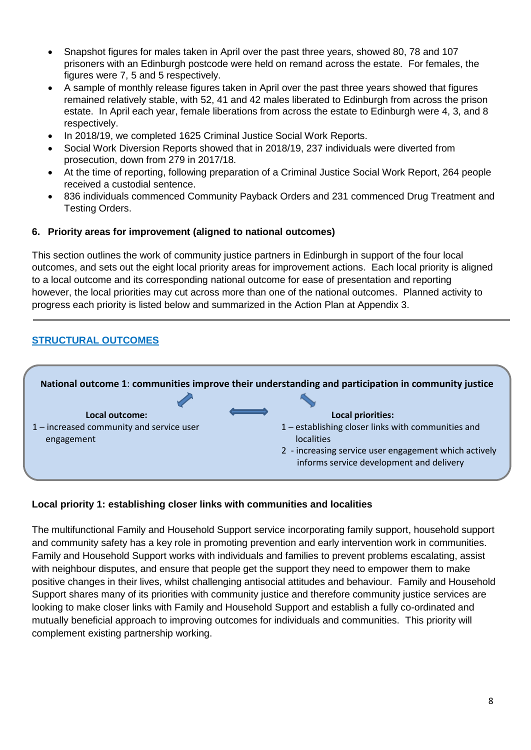- Snapshot figures for males taken in April over the past three years, showed 80, 78 and 107 prisoners with an Edinburgh postcode were held on remand across the estate. For females, the figures were 7, 5 and 5 respectively.
- A sample of monthly release figures taken in April over the past three years showed that figures remained relatively stable, with 52, 41 and 42 males liberated to Edinburgh from across the prison estate. In April each year, female liberations from across the estate to Edinburgh were 4, 3, and 8 respectively.
- In 2018/19, we completed 1625 Criminal Justice Social Work Reports.
- Social Work Diversion Reports showed that in 2018/19, 237 individuals were diverted from prosecution, down from 279 in 2017/18.
- At the time of reporting, following preparation of a Criminal Justice Social Work Report, 264 people received a custodial sentence.
- 836 individuals commenced Community Payback Orders and 231 commenced Drug Treatment and Testing Orders.

#### **6. Priority areas for improvement (aligned to national outcomes)**

This section outlines the work of community justice partners in Edinburgh in support of the four local outcomes, and sets out the eight local priority areas for improvement actions. Each local priority is aligned to a local outcome and its corresponding national outcome for ease of presentation and reporting however, the local priorities may cut across more than one of the national outcomes. Planned activity to progress each priority is listed below and summarized in the Action Plan at Appendix 3.

#### **STRUCTURAL OUTCOMES**



#### **Local priority 1: establishing closer links with communities and localities**

The multifunctional Family and Household Support service incorporating family support, household support and community safety has a key role in promoting prevention and early intervention work in communities. Family and Household Support works with individuals and families to prevent problems escalating, assist with neighbour disputes, and ensure that people get the support they need to empower them to make positive changes in their lives, whilst challenging antisocial attitudes and behaviour. Family and Household Support shares many of its priorities with community justice and therefore community justice services are looking to make closer links with Family and Household Support and establish a fully co-ordinated and mutually beneficial approach to improving outcomes for individuals and communities. This priority will complement existing partnership working.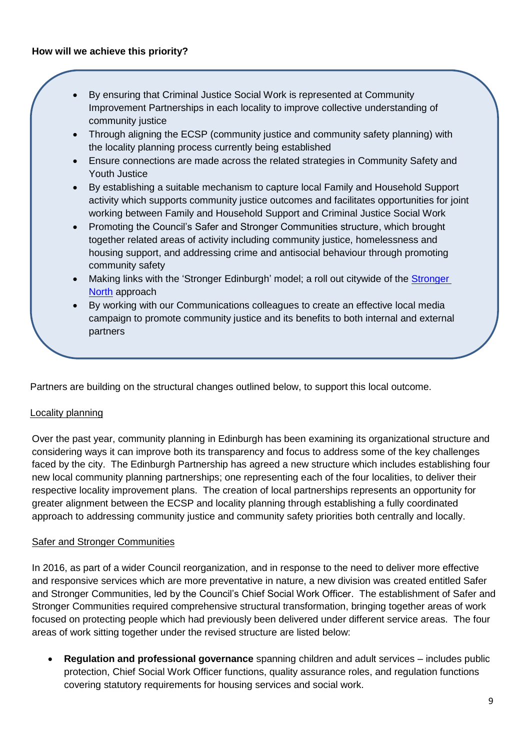- By ensuring that Criminal Justice Social Work is represented at Community Improvement Partnerships in each locality to improve collective understanding of community justice
- Through aligning the ECSP (community justice and community safety planning) with the locality planning process currently being established
- Ensure connections are made across the related strategies in Community Safety and Youth Justice
- By establishing a suitable mechanism to capture local Family and Household Support activity which supports community justice outcomes and facilitates opportunities for joint working between Family and Household Support and Criminal Justice Social Work
- Promoting the Council's Safer and Stronger Communities structure, which brought together related areas of activity including community justice, homelessness and housing support, and addressing crime and antisocial behaviour through promoting community safety
- Making links with the 'Stronger Edinburgh' model; a roll out citywide of the Stronger [North](http://www.edinburgh.gov.uk/info/20043/community_safety/1166/strongernorth) approach
- By working with our Communications colleagues to create an effective local media campaign to promote community justice and its benefits to both internal and external partners

Partners are building on the structural changes outlined below, to support this local outcome.

#### Locality planning

Over the past year, community planning in Edinburgh has been examining its organizational structure and considering ways it can improve both its transparency and focus to address some of the key challenges faced by the city. The Edinburgh Partnership has agreed a new structure which includes establishing four new local community planning partnerships; one representing each of the four localities, to deliver their respective locality improvement plans. The creation of local partnerships represents an opportunity for greater alignment between the ECSP and locality planning through establishing a fully coordinated approach to addressing community justice and community safety priorities both centrally and locally.

#### Safer and Stronger Communities

In 2016, as part of a wider Council reorganization, and in response to the need to deliver more effective and responsive services which are more preventative in nature, a new division was created entitled Safer and Stronger Communities, led by the Council's Chief Social Work Officer. The establishment of Safer and Stronger Communities required comprehensive structural transformation, bringing together areas of work focused on protecting people which had previously been delivered under different service areas. The four areas of work sitting together under the revised structure are listed below:

• **Regulation and professional governance** spanning children and adult services – includes public protection, Chief Social Work Officer functions, quality assurance roles, and regulation functions covering statutory requirements for housing services and social work.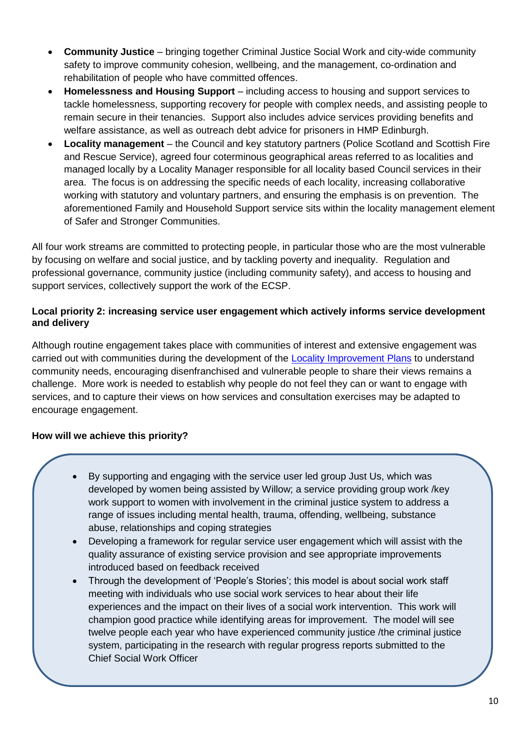- **Community Justice** bringing together Criminal Justice Social Work and city-wide community safety to improve community cohesion, wellbeing, and the management, co-ordination and rehabilitation of people who have committed offences.
- **Homelessness and Housing Support** including access to housing and support services to tackle homelessness, supporting recovery for people with complex needs, and assisting people to remain secure in their tenancies. Support also includes advice services providing benefits and welfare assistance, as well as outreach debt advice for prisoners in HMP Edinburgh.
- **Locality management**  the Council and key statutory partners (Police Scotland and Scottish Fire and Rescue Service), agreed four coterminous geographical areas referred to as localities and managed locally by a Locality Manager responsible for all locality based Council services in their area. The focus is on addressing the specific needs of each locality, increasing collaborative working with statutory and voluntary partners, and ensuring the emphasis is on prevention. The aforementioned Family and Household Support service sits within the locality management element of Safer and Stronger Communities.

All four work streams are committed to protecting people, in particular those who are the most vulnerable by focusing on welfare and social justice, and by tackling poverty and inequality. Regulation and professional governance, community justice (including community safety), and access to housing and support services, collectively support the work of the ECSP.

#### **Local priority 2: increasing service user engagement which actively informs service development and delivery**

Although routine engagement takes place with communities of interest and extensive engagement was carried out with communities during the development of the [Locality Improvement Plans](http://www.edinburgh.gov.uk/info/20017/our_main_offices/1663/locality_improvement_plans) to understand community needs, encouraging disenfranchised and vulnerable people to share their views remains a challenge. More work is needed to establish why people do not feel they can or want to engage with services, and to capture their views on how services and consultation exercises may be adapted to encourage engagement.

## **How will we achieve this priority?**

- By supporting and engaging with the service user led group Just Us, which was developed by women being assisted by Willow; a service providing group work /key work support to women with involvement in the criminal justice system to address a range of issues including mental health, trauma, offending, wellbeing, substance abuse, relationships and coping strategies
- Developing a framework for regular service user engagement which will assist with the quality assurance of existing service provision and see appropriate improvements introduced based on feedback received
- Through the development of 'People's Stories'; this model is about social work staff meeting with individuals who use social work services to hear about their life experiences and the impact on their lives of a social work intervention. This work will champion good practice while identifying areas for improvement. The model will see twelve people each year who have experienced community justice /the criminal justice system, participating in the research with regular progress reports submitted to the Chief Social Work Officer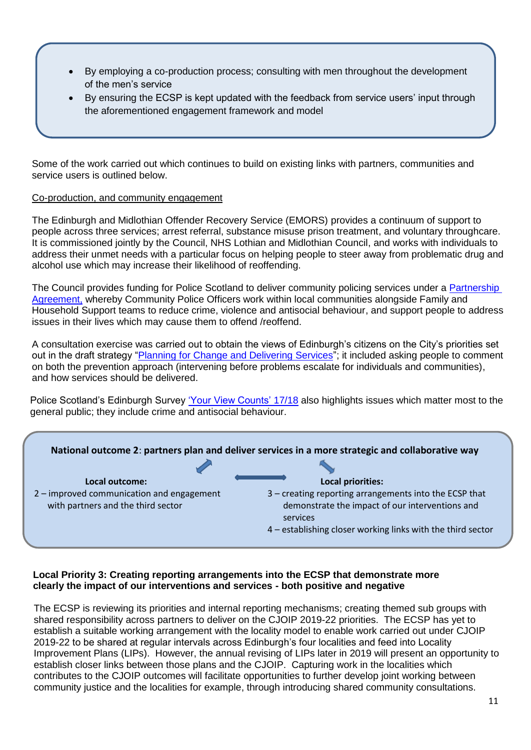- By employing a co-production process; consulting with men throughout the development of the men's service
- By ensuring the ECSP is kept updated with the feedback from service users' input through the aforementioned engagement framework and model

Some of the work carried out which continues to build on existing links with partners, communities and service users is outlined below.

#### Co-production, and community engagement

The Edinburgh and Midlothian Offender Recovery Service (EMORS) provides a continuum of support to people across three services; arrest referral, substance misuse prison treatment, and voluntary throughcare. It is commissioned jointly by the Council, NHS Lothian and Midlothian Council, and works with individuals to address their unmet needs with a particular focus on helping people to steer away from problematic drug and alcohol use which may increase their likelihood of reoffending.

The Council provides funding for Police Scotland to deliver community policing services under a Partnership [Agreement,](http://www.edinburgh.gov.uk/download/meetings/id/57489/item_87_-_partnership_agreement_with_police_scotland_201819) whereby Community Police Officers work within local communities alongside Family and Household Support teams to reduce crime, violence and antisocial behaviour, and support people to address issues in their lives which may cause them to offend /reoffend.

A consultation exercise was carried out to obtain the views of Edinburgh's citizens on the City's priorities set out in the draft strategy ["Planning for Change and Delivering Services"](https://consultationhub.edinburgh.gov.uk/bi/change/user_uploads/budget_engagement_v5-with-cover--1.pdf); it included asking people to comment on both the prevention approach (intervening before problems escalate for individuals and communities), and how services should be delivered.

Police Scotland's Edinburgh Survey ['Your View Counts' 17/18](http://www.scotland.police.uk/assets/pdf/138327/307421/355352/476375/Edinburgh-City-report-Q2-4-2017-18?view=Standard) also highlights issues which matter most to the general public; they include crime and antisocial behaviour.



#### **Local Priority 3: Creating reporting arrangements into the ECSP that demonstrate more clearly the impact of our interventions and services - both positive and negative**

The ECSP is reviewing its priorities and internal reporting mechanisms; creating themed sub groups with shared responsibility across partners to deliver on the CJOIP 2019-22 priorities. The ECSP has yet to establish a suitable working arrangement with the locality model to enable work carried out under CJOIP 2019-22 to be shared at regular intervals across Edinburgh's four localities and feed into Locality Improvement Plans (LIPs). However, the annual revising of LIPs later in 2019 will present an opportunity to establish closer links between those plans and the CJOIP. Capturing work in the localities which contributes to the CJOIP outcomes will facilitate opportunities to further develop joint working between community justice and the localities for example, through introducing shared community consultations.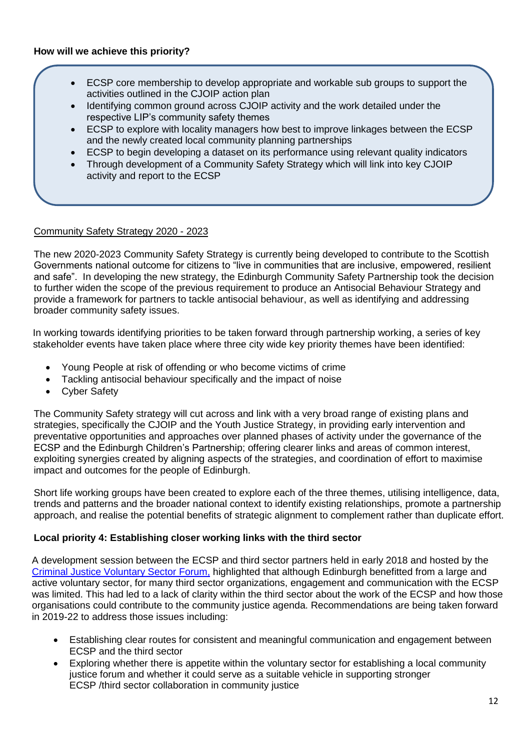- ECSP core membership to develop appropriate and workable sub groups to support the activities outlined in the CJOIP action plan
- Identifying common ground across CJOIP activity and the work detailed under the respective LIP's community safety themes
- ECSP to explore with locality managers how best to improve linkages between the ECSP and the newly created local community planning partnerships
- ECSP to begin developing a dataset on its performance using relevant quality indicators
- Through development of a Community Safety Strategy which will link into key CJOIP activity and report to the ECSP

#### Community Safety Strategy 2020 - 2023

The new 2020-2023 Community Safety Strategy is currently being developed to contribute to the Scottish Governments national outcome for citizens to "live in communities that are inclusive, empowered, resilient and safe". In developing the new strategy, the Edinburgh Community Safety Partnership took the decision to further widen the scope of the previous requirement to produce an Antisocial Behaviour Strategy and provide a framework for partners to tackle antisocial behaviour, as well as identifying and addressing broader community safety issues.

 In working towards identifying priorities to be taken forward through partnership working, a series of key stakeholder events have taken place where three city wide key priority themes have been identified:

- Young People at risk of offending or who become victims of crime
- Tackling antisocial behaviour specifically and the impact of noise
- Cyber Safety

The Community Safety strategy will cut across and link with a very broad range of existing plans and strategies, specifically the CJOIP and the Youth Justice Strategy, in providing early intervention and preventative opportunities and approaches over planned phases of activity under the governance of the ECSP and the Edinburgh Children's Partnership; offering clearer links and areas of common interest, exploiting synergies created by aligning aspects of the strategies, and coordination of effort to maximise impact and outcomes for the people of Edinburgh.

Short life working groups have been created to explore each of the three themes, utilising intelligence, data, trends and patterns and the broader national context to identify existing relationships, promote a partnership approach, and realise the potential benefits of strategic alignment to complement rather than duplicate effort.

#### **Local priority 4: Establishing closer working links with the third sector**

A development session between the ECSP and third sector partners held in early 2018 and hosted by the [Criminal Justice Voluntary Sector Forum,](http://www.ccpscotland.org/cjvsf/) highlighted that although Edinburgh benefitted from a large and active voluntary sector, for many third sector organizations, engagement and communication with the ECSP was limited. This had led to a lack of clarity within the third sector about the work of the ECSP and how those organisations could contribute to the community justice agenda. Recommendations are being taken forward in 2019-22 to address those issues including:

- Establishing clear routes for consistent and meaningful communication and engagement between ECSP and the third sector
- Exploring whether there is appetite within the voluntary sector for establishing a local community justice forum and whether it could serve as a suitable vehicle in supporting stronger ECSP /third sector collaboration in community justice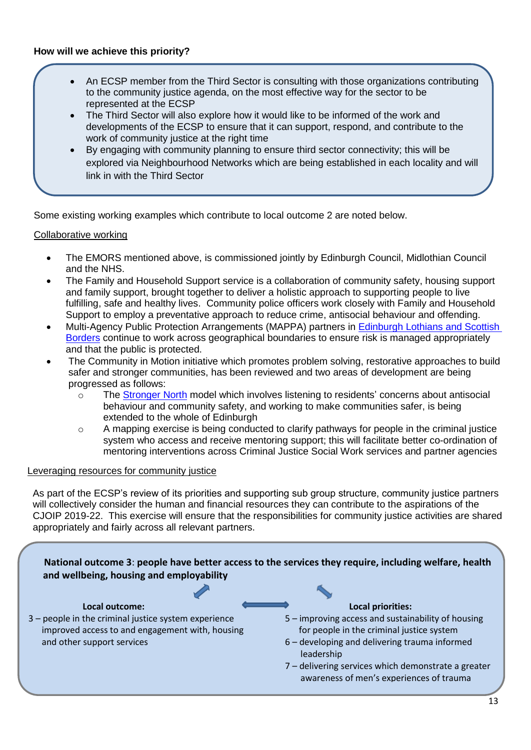- An ECSP member from the Third Sector is consulting with those organizations contributing to the community justice agenda, on the most effective way for the sector to be represented at the ECSP
- The Third Sector will also explore how it would like to be informed of the work and developments of the ECSP to ensure that it can support, respond, and contribute to the work of community justice at the right time
- By engaging with community planning to ensure third sector connectivity; this will be explored via Neighbourhood Networks which are being established in each locality and will link in with the Third Sector

Some existing working examples which contribute to local outcome 2 are noted below.

#### Collaborative working

•

- The EMORS mentioned above, is commissioned jointly by Edinburgh Council, Midlothian Council and the NHS.
- The Family and Household Support service is a collaboration of community safety, housing support and family support, brought together to deliver a holistic approach to supporting people to live fulfilling, safe and healthy lives. Community police officers work closely with Family and Household Support to employ a preventative approach to reduce crime, antisocial behaviour and offending.
- Multi-Agency Public Protection Arrangements (MAPPA) partners in [Edinburgh Lothians and Scottish](https://www.midlothian.gov.uk/download/downloads/id/2442/mappa_annual_report_2017-18.pdf)  [Borders](https://www.midlothian.gov.uk/download/downloads/id/2442/mappa_annual_report_2017-18.pdf) continue to work across geographical boundaries to ensure risk is managed appropriately and that the public is protected.
- The Community in Motion initiative which promotes problem solving, restorative approaches to build safer and stronger communities, has been reviewed and two areas of development are being progressed as follows:
	- o The [Stronger North](http://www.edinburgh.gov.uk/info/20043/community_safety/1166/strongernorth) model which involves listening to residents' concerns about antisocial behaviour and community safety, and working to make communities safer, is being extended to the whole of Edinburgh
	- o A mapping exercise is being conducted to clarify pathways for people in the criminal justice system who access and receive mentoring support; this will facilitate better co-ordination of mentoring interventions across Criminal Justice Social Work services and partner agencies

#### Leveraging resources for community justice

As part of the ECSP's review of its priorities and supporting sub group structure, community justice partners will collectively consider the human and financial resources they can contribute to the aspirations of the CJOIP 2019-22. This exercise will ensure that the responsibilities for community justice activities are shared appropriately and fairly across all relevant partners.

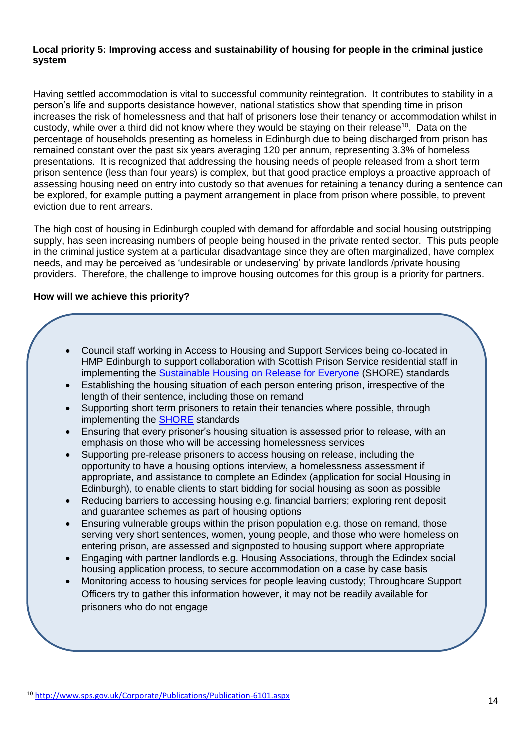#### **Local priority 5: Improving access and sustainability of housing for people in the criminal justice system**

Having settled accommodation is vital to successful community reintegration. It contributes to stability in a person's life and supports desistance however, national statistics show that spending time in prison increases the risk of homelessness and that half of prisoners lose their tenancy or accommodation whilst in custody, while over a third did not know where they would be staying on their release<sup>10</sup>. Data on the percentage of households presenting as homeless in Edinburgh due to being discharged from prison has remained constant over the past six years averaging 120 per annum, representing 3.3% of homeless presentations. It is recognized that addressing the housing needs of people released from a short term prison sentence (less than four years) is complex, but that good practice employs a proactive approach of assessing housing need on entry into custody so that avenues for retaining a tenancy during a sentence can be explored, for example putting a payment arrangement in place from prison where possible, to prevent eviction due to rent arrears.

The high cost of housing in Edinburgh coupled with demand for affordable and social housing outstripping supply, has seen increasing numbers of people being housed in the private rented sector. This puts people in the criminal justice system at a particular disadvantage since they are often marginalized, have complex needs, and may be perceived as 'undesirable or undeserving' by private landlords /private housing providers. Therefore, the challenge to improve housing outcomes for this group is a priority for partners.

#### **How will we achieve this priority?**

- Council staff working in Access to Housing and Support Services being co-located in HMP Edinburgh to support collaboration with Scottish Prison Service residential staff in implementing the **Sustainable Housing on Release for Everyone** (SHORE) standards
- Establishing the housing situation of each person entering prison, irrespective of the length of their sentence, including those on remand
- Supporting short term prisoners to retain their tenancies where possible, through implementing the [SHORE](http://www.sps.gov.uk/Corporate/Publications/Publication-5363.aspx) standards
- Ensuring that every prisoner's housing situation is assessed prior to release, with an emphasis on those who will be accessing homelessness services
- Supporting pre-release prisoners to access housing on release, including the opportunity to have a housing options interview, a homelessness assessment if appropriate, and assistance to complete an Edindex (application for social Housing in Edinburgh), to enable clients to start bidding for social housing as soon as possible
- Reducing barriers to accessing housing e.g. financial barriers; exploring rent deposit and guarantee schemes as part of housing options
- Ensuring vulnerable groups within the prison population e.g. those on remand, those serving very short sentences, women, young people, and those who were homeless on entering prison, are assessed and signposted to housing support where appropriate
- Engaging with partner landlords e.g. Housing Associations, through the Edindex social housing application process, to secure accommodation on a case by case basis
- Monitoring access to housing services for people leaving custody; Throughcare Support Officers try to gather this information however, it may not be readily available for prisoners who do not engage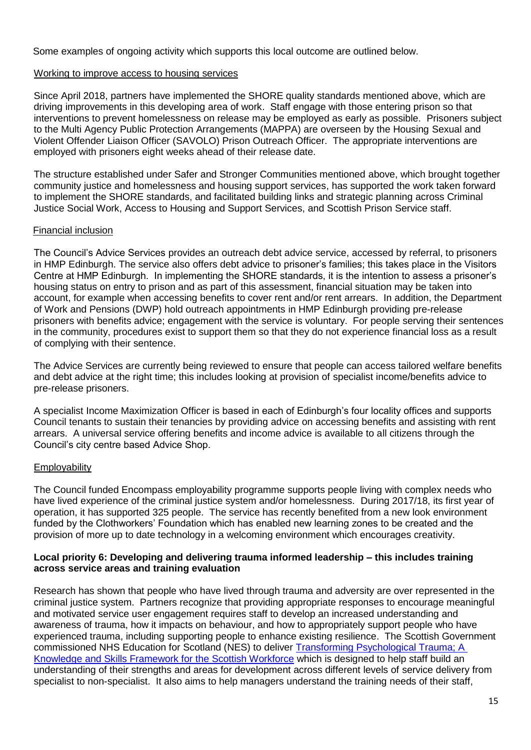Some examples of ongoing activity which supports this local outcome are outlined below.

#### Working to improve access to housing services

Since April 2018, partners have implemented the SHORE quality standards mentioned above, which are driving improvements in this developing area of work. Staff engage with those entering prison so that interventions to prevent homelessness on release may be employed as early as possible. Prisoners subject to the Multi Agency Public Protection Arrangements (MAPPA) are overseen by the Housing Sexual and Violent Offender Liaison Officer (SAVOLO) Prison Outreach Officer. The appropriate interventions are employed with prisoners eight weeks ahead of their release date.

The structure established under Safer and Stronger Communities mentioned above, which brought together community justice and homelessness and housing support services, has supported the work taken forward to implement the SHORE standards, and facilitated building links and strategic planning across Criminal Justice Social Work, Access to Housing and Support Services, and Scottish Prison Service staff.

#### Financial inclusion

The Council's Advice Services provides an outreach debt advice service, accessed by referral, to prisoners in HMP Edinburgh. The service also offers debt advice to prisoner's families; this takes place in the Visitors Centre at HMP Edinburgh. In implementing the SHORE standards, it is the intention to assess a prisoner's housing status on entry to prison and as part of this assessment, financial situation may be taken into account, for example when accessing benefits to cover rent and/or rent arrears. In addition, the Department of Work and Pensions (DWP) hold outreach appointments in HMP Edinburgh providing pre-release prisoners with benefits advice; engagement with the service is voluntary. For people serving their sentences in the community, procedures exist to support them so that they do not experience financial loss as a result of complying with their sentence.

The Advice Services are currently being reviewed to ensure that people can access tailored welfare benefits and debt advice at the right time; this includes looking at provision of specialist income/benefits advice to pre-release prisoners.

A specialist Income Maximization Officer is based in each of Edinburgh's four locality offices and supports Council tenants to sustain their tenancies by providing advice on accessing benefits and assisting with rent arrears. A universal service offering benefits and income advice is available to all citizens through the Council's city centre based Advice Shop.

#### **Employability**

The Council funded Encompass employability programme supports people living with complex needs who have lived experience of the criminal justice system and/or homelessness. During 2017/18, its first year of operation, it has supported 325 people. The service has recently benefited from a new look environment funded by the Clothworkers' Foundation which has enabled new learning zones to be created and the provision of more up to date technology in a welcoming environment which encourages creativity.

#### **Local priority 6: Developing and delivering trauma informed leadership – this includes training across service areas and training evaluation**

Research has shown that people who have lived through trauma and adversity are over represented in the criminal justice system. Partners recognize that providing appropriate responses to encourage meaningful and motivated service user engagement requires staff to develop an increased understanding and awareness of trauma, how it impacts on behaviour, and how to appropriately support people who have experienced trauma, including supporting people to enhance existing resilience. The Scottish Government commissioned NHS Education for Scotland (NES) to deliver [Transforming Psychological Trauma; A](https://www.nes.scot.nhs.uk/media/3983113/NationalTraumaTrainingFramework-execsummary-web.pdf)  [Knowledge and Skills Framework for the Scottish Workforce](https://www.nes.scot.nhs.uk/media/3983113/NationalTraumaTrainingFramework-execsummary-web.pdf) which is designed to help staff build an understanding of their strengths and areas for development across different levels of service delivery from specialist to non-specialist. It also aims to help managers understand the training needs of their staff,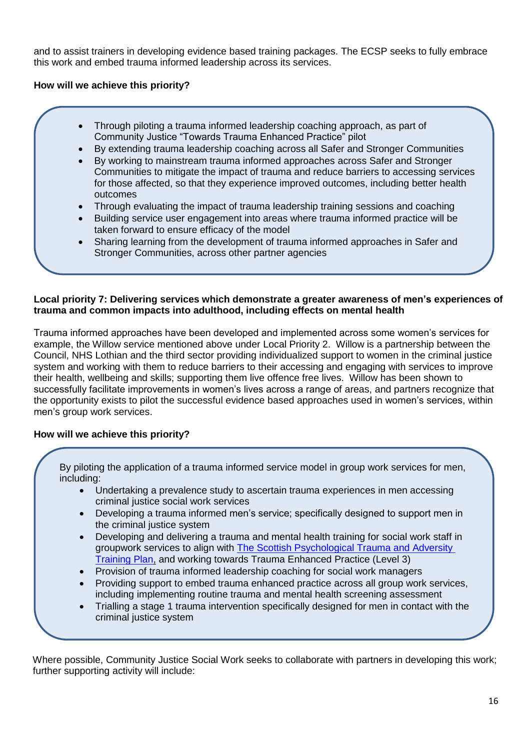and to assist trainers in developing evidence based training packages. The ECSP seeks to fully embrace this work and embed trauma informed leadership across its services.

#### **How will we achieve this priority?**

- Through piloting a trauma informed leadership coaching approach, as part of Community Justice "Towards Trauma Enhanced Practice" pilot
- By extending trauma leadership coaching across all Safer and Stronger Communities
- By working to mainstream trauma informed approaches across Safer and Stronger Communities to mitigate the impact of trauma and reduce barriers to accessing services for those affected, so that they experience improved outcomes, including better health outcomes
- Through evaluating the impact of trauma leadership training sessions and coaching
- Building service user engagement into areas where trauma informed practice will be taken forward to ensure efficacy of the model
- Sharing learning from the development of trauma informed approaches in Safer and Stronger Communities, across other partner agencies

#### **Local priority 7: Delivering services which demonstrate a greater awareness of men's experiences of trauma and common impacts into adulthood, including effects on mental health**

Trauma informed approaches have been developed and implemented across some women's services for example, the Willow service mentioned above under Local Priority 2. Willow is a partnership between the Council, NHS Lothian and the third sector providing individualized support to women in the criminal justice system and working with them to reduce barriers to their accessing and engaging with services to improve their health, wellbeing and skills; supporting them live offence free lives. Willow has been shown to successfully facilitate improvements in women's lives across a range of areas, and partners recognize that the opportunity exists to pilot the successful evidence based approaches used in women's services, within men's group work services.

#### **How will we achieve this priority?**

 By piloting the application of a trauma informed service model in group work services for men, including:

- Undertaking a prevalence study to ascertain trauma experiences in men accessing criminal justice social work services
- Developing a trauma informed men's service; specifically designed to support men in the criminal justice system
- Developing and delivering a trauma and mental health training for social work staff in groupwork services to align with The Scottish Psychological Trauma and Adversity [Training Plan,](https://www.nes.scot.nhs.uk/media/4236974/FINAL%20REVISED%20CONSULTATION%20NESD0715-NATIONAL-TRAUMA-TRAINING-STRATEGY-V7-DL.pdf) and working towards Trauma Enhanced Practice (Level 3)
- Provision of trauma informed leadership coaching for social work managers
- Providing support to embed trauma enhanced practice across all group work services, including implementing routine trauma and mental health screening assessment
- Trialling a stage 1 trauma intervention specifically designed for men in contact with the criminal justice system

 Where possible, Community Justice Social Work seeks to collaborate with partners in developing this work; further supporting activity will include: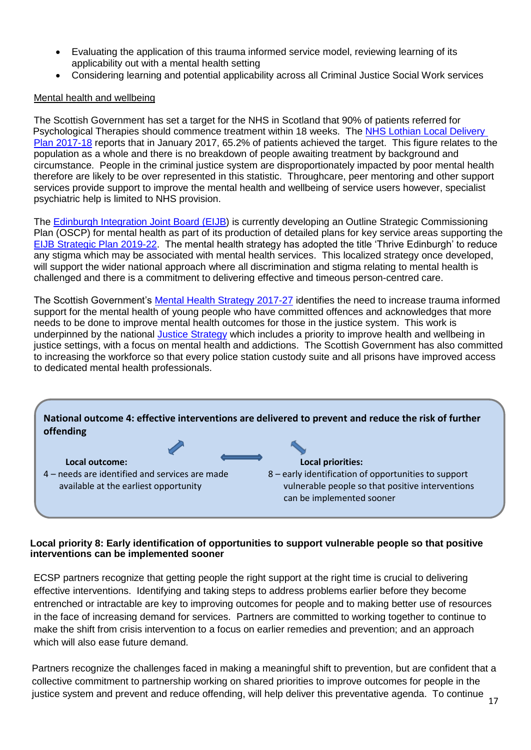- Evaluating the application of this trauma informed service model, reviewing learning of its applicability out with a mental health setting
- Considering learning and potential applicability across all Criminal Justice Social Work services

#### Mental health and wellbeing

The Scottish Government has set a target for the NHS in Scotland that 90% of patients referred for Psychological Therapies should commence treatment within 18 weeks. The [NHS Lothian Local Delivery](https://www.nhslothian.scot.nhs.uk/OurOrganisation/KeyDocuments/Documents/NHS%20Lothian%20LDP%202017-18.pdf) Plan [2017-18](https://www.nhslothian.scot.nhs.uk/OurOrganisation/KeyDocuments/Documents/NHS%20Lothian%20LDP%202017-18.pdf) reports that in January 2017, 65.2% of patients achieved the target. This figure relates to the population as a whole and there is no breakdown of people awaiting treatment by background and circumstance. People in the criminal justice system are disproportionately impacted by poor mental health therefore are likely to be over represented in this statistic. Throughcare, peer mentoring and other support services provide support to improve the mental health and wellbeing of service users however, specialist psychiatric help is limited to NHS provision.

The [Edinburgh Integration Joint Board \(EIJB\)](http://www.edinburgh.gov.uk/directory_record/626746/edinburgh_integrated_joint_board_health_and_social_care_partnership) is currently developing an Outline Strategic Commissioning Plan (OSCP) for mental health as part of its production of detailed plans for key service areas supporting the [EIJB Strategic Plan 2019-22.](https://consultationhub.edinburgh.gov.uk/hsc/draft-strategic-plan-2019-2022/) The mental health strategy has adopted the title 'Thrive Edinburgh' to reduce any stigma which may be associated with mental health services. This localized strategy once developed, will support the wider national approach where all discrimination and stigma relating to mental health is challenged and there is a commitment to delivering effective and timeous person-centred care.

The Scottish Government's [Mental Health Strategy 2017-27](https://www.gov.scot/binaries/content/documents/govscot/publications/publication/2017/03/mental-health-strategy-2017-2027/documents/00516047-pdf/00516047-pdf/govscot%3Adocument) identifies the need to increase trauma informed support for the mental health of young people who have committed offences and acknowledges that more needs to be done to improve mental health outcomes for those in the justice system. This work is underpinned by the national [Justice Strategy](https://www.gov.scot/binaries/content/documents/govscot/publications/publication/2017/07/justice-scotland-vision-priorities/documents/00522274-pdf/00522274-pdf/govscot%3Adocument) which includes a priority to improve health and wellbeing in justice settings, with a focus on mental health and addictions. The Scottish Government has also committed to increasing the workforce so that every police station custody suite and all prisons have improved access to dedicated mental health professionals.



#### **Local priority 8: Early identification of opportunities to support vulnerable people so that positive interventions can be implemented sooner**

ECSP partners recognize that getting people the right support at the right time is crucial to delivering effective interventions. Identifying and taking steps to address problems earlier before they become entrenched or intractable are key to improving outcomes for people and to making better use of resources in the face of increasing demand for services. Partners are committed to working together to continue to make the shift from crisis intervention to a focus on earlier remedies and prevention; and an approach which will also ease future demand.

Partners recognize the challenges faced in making a meaningful shift to prevention, but are confident that a collective commitment to partnership working on shared priorities to improve outcomes for people in the justice system and prevent and reduce offending, will help deliver this preventative agenda. To continue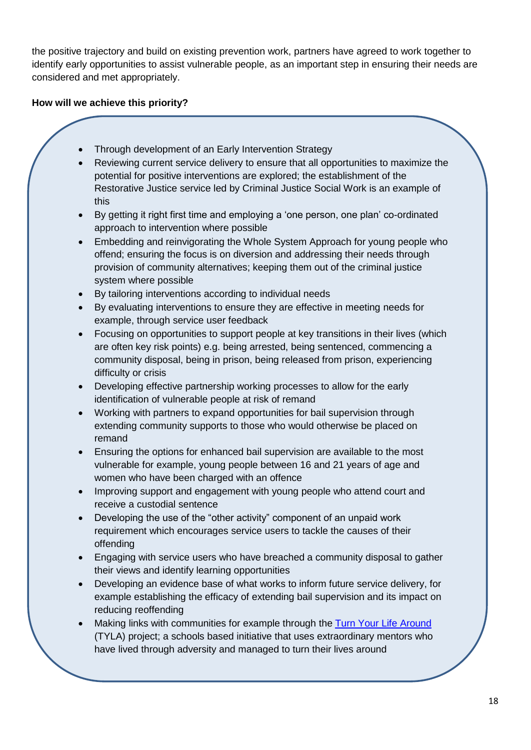the positive trajectory and build on existing prevention work, partners have agreed to work together to identify early opportunities to assist vulnerable people, as an important step in ensuring their needs are considered and met appropriately.

#### **How will we achieve this priority?**

- Through development of an Early Intervention Strategy
- Reviewing current service delivery to ensure that all opportunities to maximize the potential for positive interventions are explored; the establishment of the Restorative Justice service led by Criminal Justice Social Work is an example of this
- By getting it right first time and employing a 'one person, one plan' co-ordinated approach to intervention where possible
- Embedding and reinvigorating the Whole System Approach for young people who offend; ensuring the focus is on diversion and addressing their needs through provision of community alternatives; keeping them out of the criminal justice system where possible
- By tailoring interventions according to individual needs
- By evaluating interventions to ensure they are effective in meeting needs for example, through service user feedback
- Focusing on opportunities to support people at key transitions in their lives (which are often key risk points) e.g. being arrested, being sentenced, commencing a community disposal, being in prison, being released from prison, experiencing difficulty or crisis
- Developing effective partnership working processes to allow for the early identification of vulnerable people at risk of remand
- Working with partners to expand opportunities for bail supervision through extending community supports to those who would otherwise be placed on remand
- Ensuring the options for enhanced bail supervision are available to the most vulnerable for example, young people between 16 and 21 years of age and women who have been charged with an offence
- Improving support and engagement with young people who attend court and receive a custodial sentence
- Developing the use of the "other activity" component of an unpaid work requirement which encourages service users to tackle the causes of their offending
- Engaging with service users who have breached a community disposal to gather their views and identify learning opportunities
- Developing an evidence base of what works to inform future service delivery, for example establishing the efficacy of extending bail supervision and its impact on reducing reoffending
- Making links with communities for example through the [Turn Your Life Around](https://twitter.com/tylaedinburgh) (TYLA) project; a schools based initiative that uses extraordinary mentors who have lived through adversity and managed to turn their lives around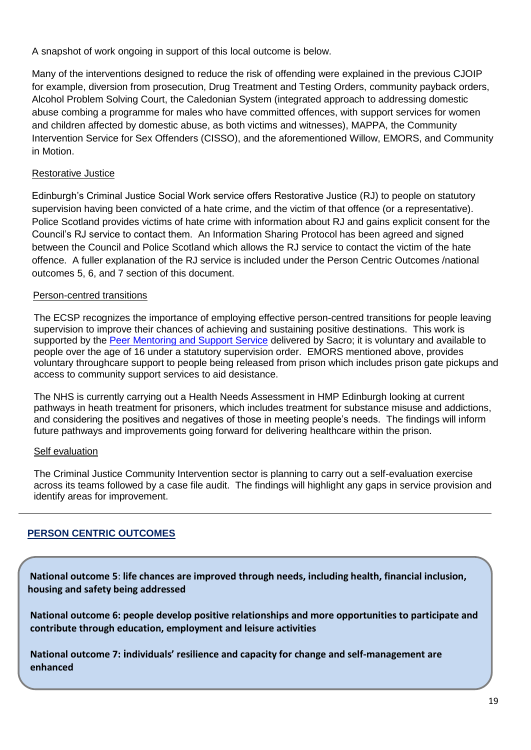A snapshot of work ongoing in support of this local outcome is below.

Many of the interventions designed to reduce the risk of offending were explained in the previous CJOIP for example, diversion from prosecution, Drug Treatment and Testing Orders, community payback orders, Alcohol Problem Solving Court, the Caledonian System (integrated approach to addressing domestic abuse combing a programme for males who have committed offences, with support services for women and children affected by domestic abuse, as both victims and witnesses), MAPPA, the Community Intervention Service for Sex Offenders (CISSO), and the aforementioned Willow, EMORS, and Community in Motion.

#### Restorative Justice

Edinburgh's Criminal Justice Social Work service offers Restorative Justice (RJ) to people on statutory supervision having been convicted of a hate crime, and the victim of that offence (or a representative). Police Scotland provides victims of hate crime with information about RJ and gains explicit consent for the Council's RJ service to contact them. An Information Sharing Protocol has been agreed and signed between the Council and Police Scotland which allows the RJ service to contact the victim of the hate offence. A fuller explanation of the RJ service is included under the Person Centric Outcomes /national outcomes 5, 6, and 7 section of this document.

#### Person-centred transitions

The ECSP recognizes the importance of employing effective person-centred transitions for people leaving supervision to improve their chances of achieving and sustaining positive destinations. This work is supported by the [Peer Mentoring and Support Service](https://www.sacro.org.uk/services/criminal-justice/peer-mentoring-service) delivered by Sacro; it is voluntary and available to people over the age of 16 under a statutory supervision order. EMORS mentioned above, provides voluntary throughcare support to people being released from prison which includes prison gate pickups and access to community support services to aid desistance.

The NHS is currently carrying out a Health Needs Assessment in HMP Edinburgh looking at current pathways in heath treatment for prisoners, which includes treatment for substance misuse and addictions, and considering the positives and negatives of those in meeting people's needs. The findings will inform future pathways and improvements going forward for delivering healthcare within the prison.

## Self evaluation

The Criminal Justice Community Intervention sector is planning to carry out a self-evaluation exercise across its teams followed by a case file audit. The findings will highlight any gaps in service provision and identify areas for improvement.

## **PERSON CENTRIC OUTCOMES**

**National outcome 5**: **life chances are improved through needs, including health, financial inclusion, housing and safety being addressed**

**National outcome 6: people develop positive relationships and more opportunities to participate and contribute through education, employment and leisure activities**

٦

**National outcome 7: individuals' resilience and capacity for change and self-management are enhanced**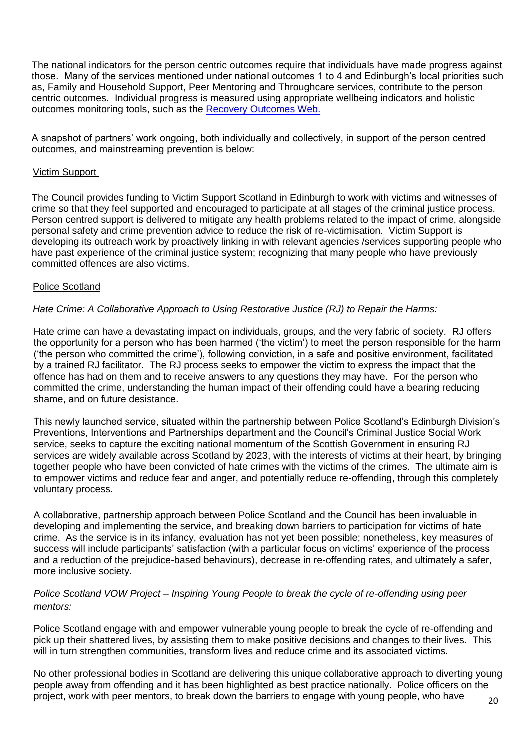The national indicators for the person centric outcomes require that individuals have made progress against those. Many of the services mentioned under national outcomes 1 to 4 and Edinburgh's local priorities such as, Family and Household Support, Peer Mentoring and Throughcare services, contribute to the person centric outcomes. Individual progress is measured using appropriate wellbeing indicators and holistic outcomes monitoring tools, such as the [Recovery Outcomes](http://www.ssks.org.uk/media/166879/recovery%20outcome%20guidance%20020616.pdf) Web.

A snapshot of partners' work ongoing, both individually and collectively, in support of the person centred outcomes, and mainstreaming prevention is below:

#### Victim Support

The Council provides funding to Victim Support Scotland in Edinburgh to work with victims and witnesses of crime so that they feel supported and encouraged to participate at all stages of the criminal justice process. Person centred support is delivered to mitigate any health problems related to the impact of crime, alongside personal safety and crime prevention advice to reduce the risk of re-victimisation. Victim Support is developing its outreach work by proactively linking in with relevant agencies /services supporting people who have past experience of the criminal justice system; recognizing that many people who have previously committed offences are also victims.

#### Police Scotland

#### *Hate Crime: A Collaborative Approach to Using Restorative Justice (RJ) to Repair the Harms:*

Hate crime can have a devastating impact on individuals, groups, and the very fabric of society. RJ offers the opportunity for a person who has been harmed ('the victim') to meet the person responsible for the harm ('the person who committed the crime'), following conviction, in a safe and positive environment, facilitated by a trained RJ facilitator. The RJ process seeks to empower the victim to express the impact that the offence has had on them and to receive answers to any questions they may have. For the person who committed the crime, understanding the human impact of their offending could have a bearing reducing shame, and on future desistance.

This newly launched service, situated within the partnership between Police Scotland's Edinburgh Division's Preventions, Interventions and Partnerships department and the Council's Criminal Justice Social Work service, seeks to capture the exciting national momentum of the Scottish Government in ensuring RJ services are widely available across Scotland by 2023, with the interests of victims at their heart, by bringing together people who have been convicted of hate crimes with the victims of the crimes. The ultimate aim is to empower victims and reduce fear and anger, and potentially reduce re-offending, through this completely voluntary process.

A collaborative, partnership approach between Police Scotland and the Council has been invaluable in developing and implementing the service, and breaking down barriers to participation for victims of hate crime. As the service is in its infancy, evaluation has not yet been possible; nonetheless, key measures of success will include participants' satisfaction (with a particular focus on victims' experience of the process and a reduction of the prejudice-based behaviours), decrease in re-offending rates, and ultimately a safer, more inclusive society.

#### *Police Scotland VOW Project – Inspiring Young People to break the cycle of re-offending using peer mentors:*

Police Scotland engage with and empower vulnerable young people to break the cycle of re-offending and pick up their shattered lives, by assisting them to make positive decisions and changes to their lives. This will in turn strengthen communities, transform lives and reduce crime and its associated victims.

No other professional bodies in Scotland are delivering this unique collaborative approach to diverting young people away from offending and it has been highlighted as best practice nationally. Police officers on the project, work with peer mentors, to break down the barriers to engage with young people, who have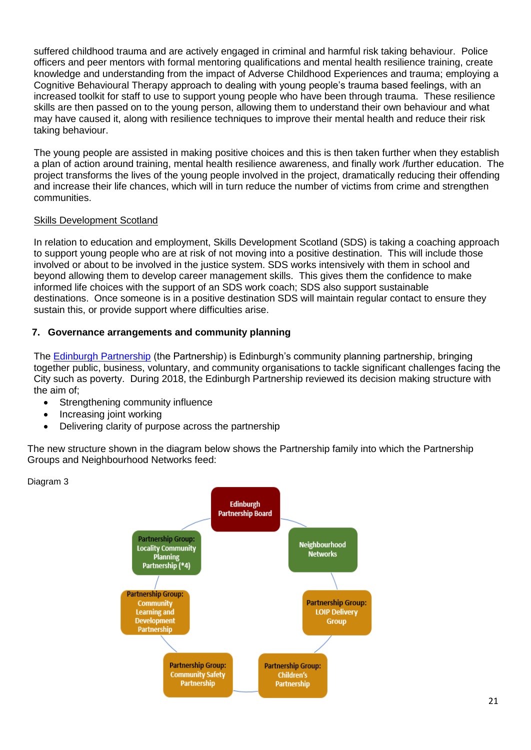suffered childhood trauma and are actively engaged in criminal and harmful risk taking behaviour. Police officers and peer mentors with formal mentoring qualifications and mental health resilience training, create knowledge and understanding from the impact of Adverse Childhood Experiences and trauma; employing a Cognitive Behavioural Therapy approach to dealing with young people's trauma based feelings, with an increased toolkit for staff to use to support young people who have been through trauma. These resilience skills are then passed on to the young person, allowing them to understand their own behaviour and what may have caused it, along with resilience techniques to improve their mental health and reduce their risk taking behaviour.

The young people are assisted in making positive choices and this is then taken further when they establish a plan of action around training, mental health resilience awareness, and finally work /further education. The project transforms the lives of the young people involved in the project, dramatically reducing their offending and increase their life chances, which will in turn reduce the number of victims from crime and strengthen communities.

#### Skills Development Scotland

In relation to education and employment, Skills Development Scotland (SDS) is taking a coaching approach to support young people who are at risk of not moving into a positive destination. This will include those involved or about to be involved in the justice system. SDS works intensively with them in school and beyond allowing them to develop career management skills. This gives them the confidence to make informed life choices with the support of an SDS work coach; SDS also support sustainable destinations. Once someone is in a positive destination SDS will maintain regular contact to ensure they sustain this, or provide support where difficulties arise.

#### **7. Governance arrangements and community planning**

The [Edinburgh Partnership](http://www.edinburgh.gov.uk/info/20133/community_planning/391/community_planning_in_edinburgh) (the Partnership) is Edinburgh's community planning partnership, bringing together public, business, voluntary, and community organisations to tackle significant challenges facing the City such as poverty. During 2018, the Edinburgh Partnership reviewed its decision making structure with the aim of;

- Strengthening community influence
- Increasing joint working
- Delivering clarity of purpose across the partnership

The new structure shown in the diagram below shows the Partnership family into which the Partnership Groups and Neighbourhood Networks feed:

Diagram 3

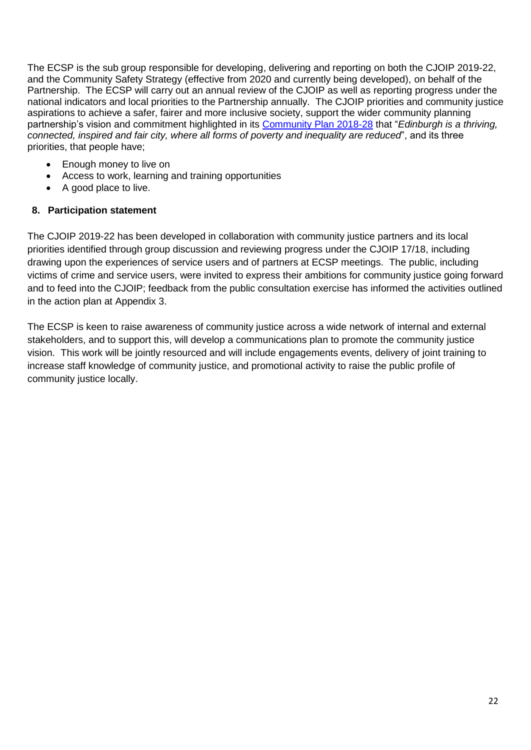The ECSP is the sub group responsible for developing, delivering and reporting on both the CJOIP 2019-22, and the Community Safety Strategy (effective from 2020 and currently being developed), on behalf of the Partnership. The ECSP will carry out an annual review of the CJOIP as well as reporting progress under the national indicators and local priorities to the Partnership annually. The CJOIP priorities and community justice aspirations to achieve a safer, fairer and more inclusive society, support the wider community planning partnership's vision and commitment highlighted in its [Community Plan 2018-28](http://www.edinburgh.gov.uk/download/downloads/id/11773/community_plan_2018_-_28.pdf) that "*Edinburgh is a thriving, connected, inspired and fair city, where all forms of poverty and inequality are reduced*", and its three priorities, that people have;

- Enough money to live on
- Access to work, learning and training opportunities
- A good place to live.

#### **8. Participation statement**

The CJOIP 2019-22 has been developed in collaboration with community justice partners and its local priorities identified through group discussion and reviewing progress under the CJOIP 17/18, including drawing upon the experiences of service users and of partners at ECSP meetings. The public, including victims of crime and service users, were invited to express their ambitions for community justice going forward and to feed into the CJOIP; feedback from the public consultation exercise has informed the activities outlined in the action plan at Appendix 3.

The ECSP is keen to raise awareness of community justice across a wide network of internal and external stakeholders, and to support this, will develop a communications plan to promote the community justice vision. This work will be jointly resourced and will include engagements events, delivery of joint training to increase staff knowledge of community justice, and promotional activity to raise the public profile of community justice locally.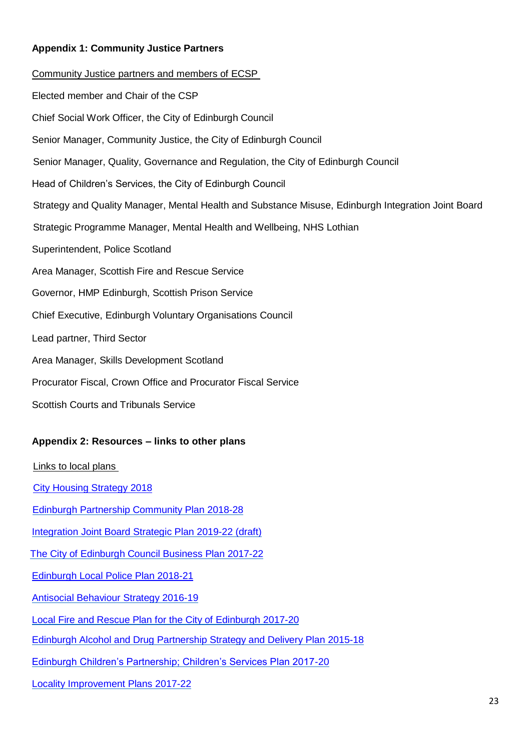#### **Appendix 1: Community Justice Partners**

Community Justice partners and members of ECSP Elected member and Chair of the CSP Chief Social Work Officer, the City of Edinburgh Council Senior Manager, Community Justice, the City of Edinburgh Council Senior Manager, Quality, Governance and Regulation, the City of Edinburgh Council Head of Children's Services, the City of Edinburgh Council Strategy and Quality Manager, Mental Health and Substance Misuse, Edinburgh Integration Joint Board Strategic Programme Manager, Mental Health and Wellbeing, NHS Lothian Superintendent, Police Scotland Area Manager, Scottish Fire and Rescue Service Governor, HMP Edinburgh, Scottish Prison Service Chief Executive, Edinburgh Voluntary Organisations Council Lead partner, Third Sector Area Manager, Skills Development Scotland Procurator Fiscal, Crown Office and Procurator Fiscal Service Scottish Courts and Tribunals Service **Appendix 2: Resources – links to other plans** Links to local plans [City Housing Strategy 2018](http://www.edinburgh.gov.uk/downloads/file/10335/city_housing_strategy_2018) Edinburgh [Partnership Community](http://www.edinburgh.gov.uk/download/downloads/id/11773/community_plan_2018_-_28.pdf) Plan 2018-28 Integration Joint Board Strategic [Plan 2019-22 \(draft\)](https://consultationhub.edinburgh.gov.uk/hsc/draft-strategic-plan-2019-2022/)

The City of Edinburgh [Council Business](http://www.edinburgh.gov.uk/downloads/file/9797/council_business_plan_2017-22) Plan 2017-22

[Edinburgh Local Police](http://www.scotland.police.uk/assets/pdf/477903/edinburgh-policing-plan-2018-2021?view=Standard) Plan 2018-21

[Antisocial Behaviour](http://www.edinburgh.gov.uk/download/downloads/id/8752/antisocial_behaviour_strategy_2016_-_2019.pdf) Strategy 2016-19

[Local Fire and](https://www.firescotland.gov.uk/media/1228026/edinburgh_local_fire_and_rescue_plan_2017.pdf) Rescue Plan for the City of Edinburgh 2017-20

Edinburgh Alcohol and Drug [Partnership Strategy](https://www.edinburghadp.co.uk/wp-content/uploads/2016/08/EADP-Strategy-and-Delivery-Plan-2015-2018.pdf) and Delivery Plan 2015-18

[Edinburgh Children's Partnership; Children's Services Plan 2017-20](https://org.nhslothian.scot/Strategies/Documents/Edinburgh%20Childrens%20Services%20Plan%20-%202017-2020.pdf)

[Locality Improvement Plans](http://www.edinburgh.gov.uk/info/20017/our_main_offices/1663/locality_improvement_plans) 2017-22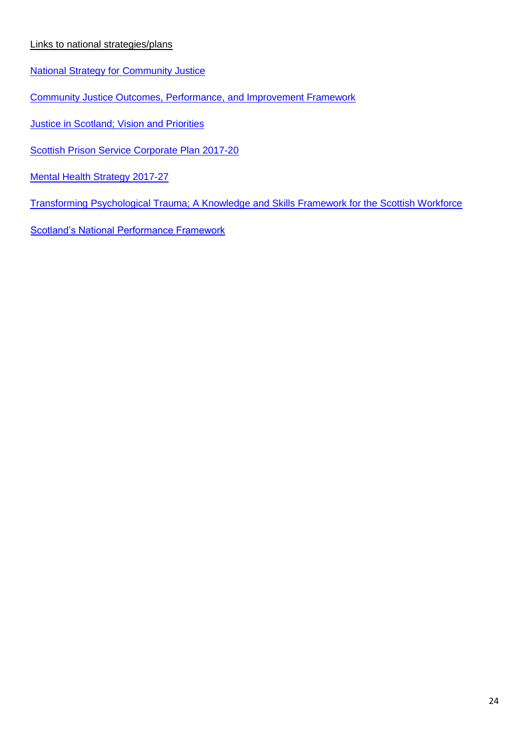#### Links to national strategies/plans

- [National Strategy for Community Justice](https://www.gov.scot/publications/national-strategy-community-justice/)
- [Community Justice Outcomes, Performance,](https://www.gov.scot/publications/community-justice-outcomes-performance-improvement-framework/) and Improvement Framework
- **[Justice in Scotland; Vision and Priorities](https://www.gov.scot/publications/justice-scotland-vision-priorities/)**
- [Scottish Prison Service Corporate Plan 2017-20](http://www.sps.gov.uk/Corporate/Publications/Publication-5169.aspx)
- [Mental Health Strategy](https://www.gov.scot/publications/mental-health-strategy-2017-2027/) 2017-27
- [Transforming Psychological Trauma; A Knowledge and Skills Framework for the Scottish Workforce](https://www.nes.scot.nhs.uk/media/3983113/NationalTraumaTrainingFramework-execsummary-web.pdf)
- [Scotland's National Performance Framework](https://nationalperformance.gov.scot/)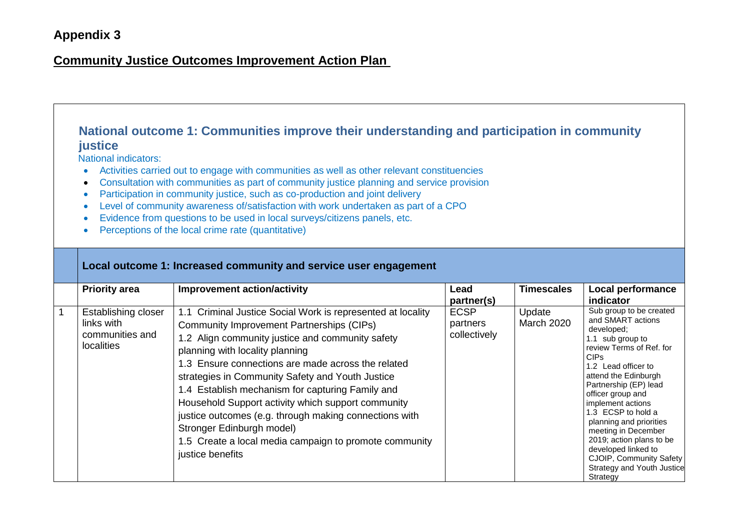## **Appendix 3**

## **Community Justice Outcomes Improvement Action Plan**

## **National outcome 1: Communities improve their understanding and participation in community justice**

National indicators:

- Activities carried out to engage with communities as well as other relevant constituencies
- Consultation with communities as part of community justice planning and service provision
- Participation in community justice, such as co-production and joint delivery
- Level of community awareness of/satisfaction with work undertaken as part of a CPO
- Evidence from questions to be used in local surveys/citizens panels, etc.
- Perceptions of the local crime rate (quantitative)

| Local outcome 1: Increased community and service user engagement          |                                                                                                                                                                                                                                                                                                                                                                                                                                                                                                                                                                                                 |                                         |                             |                                                                                                                                                                                                                                                                                                                                                                                                                                                         |  |
|---------------------------------------------------------------------------|-------------------------------------------------------------------------------------------------------------------------------------------------------------------------------------------------------------------------------------------------------------------------------------------------------------------------------------------------------------------------------------------------------------------------------------------------------------------------------------------------------------------------------------------------------------------------------------------------|-----------------------------------------|-----------------------------|---------------------------------------------------------------------------------------------------------------------------------------------------------------------------------------------------------------------------------------------------------------------------------------------------------------------------------------------------------------------------------------------------------------------------------------------------------|--|
| <b>Priority area</b>                                                      | <b>Improvement action/activity</b>                                                                                                                                                                                                                                                                                                                                                                                                                                                                                                                                                              | Lead<br>partner(s)                      | <b>Timescales</b>           | Local performance<br><i>indicator</i>                                                                                                                                                                                                                                                                                                                                                                                                                   |  |
| Establishing closer<br>links with<br>communities and<br><b>localities</b> | 1.1 Criminal Justice Social Work is represented at locality<br><b>Community Improvement Partnerships (CIPs)</b><br>1.2 Align community justice and community safety<br>planning with locality planning<br>1.3 Ensure connections are made across the related<br>strategies in Community Safety and Youth Justice<br>1.4 Establish mechanism for capturing Family and<br>Household Support activity which support community<br>justice outcomes (e.g. through making connections with<br>Stronger Edinburgh model)<br>1.5 Create a local media campaign to promote community<br>justice benefits | <b>ECSP</b><br>partners<br>collectively | Update<br><b>March 2020</b> | Sub group to be created<br>and SMART actions<br>developed;<br>1.1 sub group to<br>review Terms of Ref. for<br>CIP <sub>s</sub><br>1.2 Lead officer to<br>attend the Edinburgh<br>Partnership (EP) lead<br>officer group and<br>implement actions<br>1.3 ECSP to hold a<br>planning and priorities<br>meeting in December<br>2019; action plans to be<br>developed linked to<br>CJOIP, Community Safety<br><b>Strategy and Youth Justice</b><br>Strategy |  |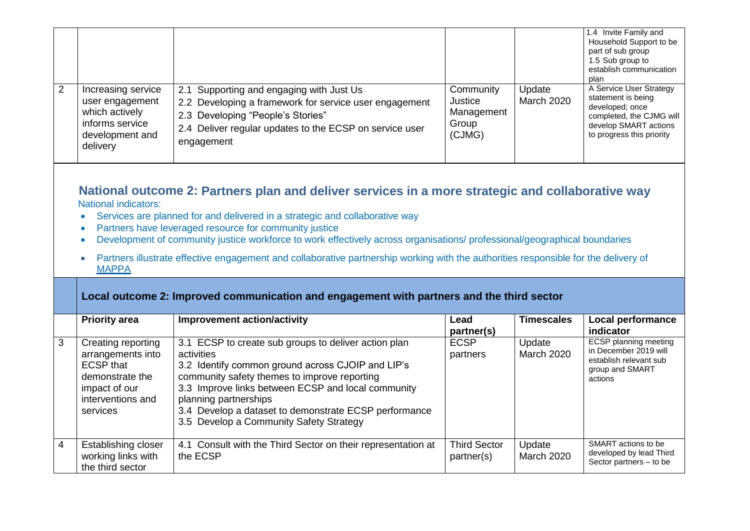|   |                                                                                                           |                                                                                                                                                                                                                  |                                                       |                             | 1.4 Invite Family and<br>Household Support to be<br>part of sub group<br>1.5 Sub group to<br>establish communication<br>plan                       |
|---|-----------------------------------------------------------------------------------------------------------|------------------------------------------------------------------------------------------------------------------------------------------------------------------------------------------------------------------|-------------------------------------------------------|-----------------------------|----------------------------------------------------------------------------------------------------------------------------------------------------|
| 2 | Increasing service<br>user engagement<br>which actively<br>informs service<br>development and<br>delivery | 2.1 Supporting and engaging with Just Us<br>2.2 Developing a framework for service user engagement<br>2.3 Developing "People's Stories"<br>2.4 Deliver regular updates to the ECSP on service user<br>engagement | Community<br>Justice<br>Management<br>Group<br>(CJMG) | Update<br><b>March 2020</b> | A Service User Strategy<br>statement is being<br>developed; once<br>completed, the CJMG will<br>develop SMART actions<br>to progress this priority |

#### **National outcome 2: Partners plan and deliver services in a more strategic and collaborative way**  National indicators:

- Services are planned for and delivered in a strategic and collaborative way
- Partners have leveraged resource for community justice
- Development of community justice workforce to work effectively across organisations/ professional/geographical boundaries
- Partners illustrate effective engagement and collaborative partnership working with the authorities responsible for the delivery of [MAPPA](http://www.gov.scot/Topics/Justice/policies/reducing-reoffending/sex-offender-management/protection)

## **Local outcome 2: Improved communication and engagement with partners and the third sector**

|   | <b>Priority area</b>                                                                                                             | <b>Improvement action/activity</b>                                                                                                                                                                                                                                                                                                                         | Lead<br>partner(s)                | <b>Timescales</b>           | <b>Local performance</b><br>indicator                                                                         |
|---|----------------------------------------------------------------------------------------------------------------------------------|------------------------------------------------------------------------------------------------------------------------------------------------------------------------------------------------------------------------------------------------------------------------------------------------------------------------------------------------------------|-----------------------------------|-----------------------------|---------------------------------------------------------------------------------------------------------------|
| 3 | Creating reporting<br>arrangements into<br><b>ECSP</b> that<br>demonstrate the<br>impact of our<br>interventions and<br>services | 3.1 ECSP to create sub groups to deliver action plan<br>activities<br>3.2 Identify common ground across CJOIP and LIP's<br>community safety themes to improve reporting<br>3.3 Improve links between ECSP and local community<br>planning partnerships<br>3.4 Develop a dataset to demonstrate ECSP performance<br>3.5 Develop a Community Safety Strategy | <b>ECSP</b><br>partners           | Update<br><b>March 2020</b> | <b>ECSP planning meeting</b><br>in December 2019 will<br>establish relevant sub<br>group and SMART<br>actions |
| 4 | Establishing closer<br>working links with<br>the third sector                                                                    | 4.1 Consult with the Third Sector on their representation at<br>the ECSP                                                                                                                                                                                                                                                                                   | <b>Third Sector</b><br>partner(s) | Update<br><b>March 2020</b> | SMART actions to be<br>developed by lead Third<br>Sector partners - to be                                     |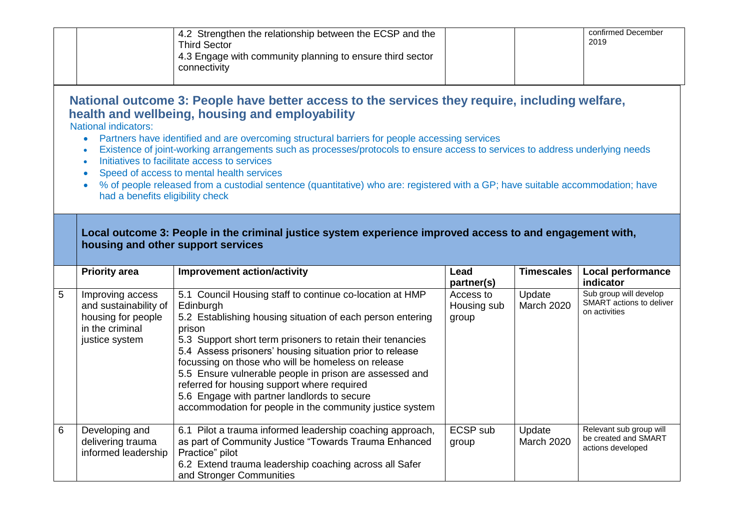|   |                                                                                                                     | 4.2 Strengthen the relationship between the ECSP and the<br><b>Third Sector</b><br>4.3 Engage with community planning to ensure third sector<br>connectivity                                                                                                                                                                                                                                                                                                                                                                                                                                                      |                                                 |                      | confirmed December<br>2019                                          |
|---|---------------------------------------------------------------------------------------------------------------------|-------------------------------------------------------------------------------------------------------------------------------------------------------------------------------------------------------------------------------------------------------------------------------------------------------------------------------------------------------------------------------------------------------------------------------------------------------------------------------------------------------------------------------------------------------------------------------------------------------------------|-------------------------------------------------|----------------------|---------------------------------------------------------------------|
|   | <b>National indicators:</b><br>$\bullet$<br>$\bullet$<br>$\bullet$<br>$\bullet$<br>had a benefits eligibility check | National outcome 3: People have better access to the services they require, including welfare,<br>health and wellbeing, housing and employability<br>Partners have identified and are overcoming structural barriers for people accessing services<br>Existence of joint-working arrangements such as processes/protocols to ensure access to services to address underlying needs<br>Initiatives to facilitate access to services<br>Speed of access to mental health services<br>% of people released from a custodial sentence (quantitative) who are: registered with a GP; have suitable accommodation; have |                                                 |                      |                                                                     |
|   |                                                                                                                     | Local outcome 3: People in the criminal justice system experience improved access to and engagement with,                                                                                                                                                                                                                                                                                                                                                                                                                                                                                                         |                                                 |                      |                                                                     |
|   |                                                                                                                     | housing and other support services                                                                                                                                                                                                                                                                                                                                                                                                                                                                                                                                                                                |                                                 |                      |                                                                     |
|   | <b>Priority area</b>                                                                                                | <b>Improvement action/activity</b>                                                                                                                                                                                                                                                                                                                                                                                                                                                                                                                                                                                | Lead                                            | <b>Timescales</b>    | Local performance<br>indicator                                      |
| 5 | Improving access<br>and sustainability of<br>housing for people<br>in the criminal<br>justice system                | 5.1 Council Housing staff to continue co-location at HMP<br>Edinburgh<br>5.2 Establishing housing situation of each person entering<br>prison<br>5.3 Support short term prisoners to retain their tenancies<br>5.4 Assess prisoners' housing situation prior to release<br>focussing on those who will be homeless on release<br>5.5 Ensure vulnerable people in prison are assessed and<br>referred for housing support where required<br>5.6 Engage with partner landlords to secure<br>accommodation for people in the community justice system                                                                | partner(s)<br>Access to<br>Housing sub<br>group | Update<br>March 2020 | Sub group will develop<br>SMART actions to deliver<br>on activities |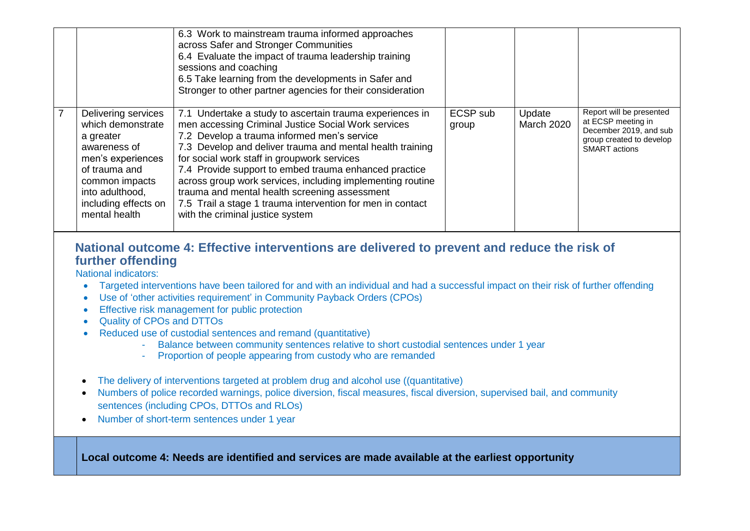|   |                                                                                                                                                                                           | 6.3 Work to mainstream trauma informed approaches<br>across Safer and Stronger Communities<br>6.4 Evaluate the impact of trauma leadership training<br>sessions and coaching<br>6.5 Take learning from the developments in Safer and<br>Stronger to other partner agencies for their consideration                                                                                                                                                                                                                                                   |                   |                             |                                                                                                                              |
|---|-------------------------------------------------------------------------------------------------------------------------------------------------------------------------------------------|------------------------------------------------------------------------------------------------------------------------------------------------------------------------------------------------------------------------------------------------------------------------------------------------------------------------------------------------------------------------------------------------------------------------------------------------------------------------------------------------------------------------------------------------------|-------------------|-----------------------------|------------------------------------------------------------------------------------------------------------------------------|
| 7 | Delivering services<br>which demonstrate<br>a greater<br>awareness of<br>men's experiences<br>of trauma and<br>common impacts<br>into adulthood,<br>including effects on<br>mental health | 7.1 Undertake a study to ascertain trauma experiences in<br>men accessing Criminal Justice Social Work services<br>7.2 Develop a trauma informed men's service<br>7.3 Develop and deliver trauma and mental health training<br>for social work staff in groupwork services<br>7.4 Provide support to embed trauma enhanced practice<br>across group work services, including implementing routine<br>trauma and mental health screening assessment<br>7.5 Trail a stage 1 trauma intervention for men in contact<br>with the criminal justice system | ECSP sub<br>group | Update<br><b>March 2020</b> | Report will be presented<br>at ECSP meeting in<br>December 2019, and sub<br>group created to develop<br><b>SMART</b> actions |

## **National outcome 4: Effective interventions are delivered to prevent and reduce the risk of further offending**

National indicators:

- Targeted interventions have been tailored for and with an individual and had a successful impact on their risk of further offending
- Use of 'other activities requirement' in Community Payback Orders (CPOs)
- **Effective risk management for public protection**
- Quality of CPOs and DTTOs
- Reduced use of custodial sentences and remand (quantitative)
	- Balance between community sentences relative to short custodial sentences under 1 year
	- Proportion of people appearing from custody who are remanded
- The delivery of interventions targeted at problem drug and alcohol use ((quantitative)
- Numbers of police recorded warnings, police diversion, fiscal measures, fiscal diversion, supervised bail, and community sentences (including CPOs, DTTOs and RLOs)
- Number of short-term sentences under 1 year

**Local outcome 4: Needs are identified and services are made available at the earliest opportunity**